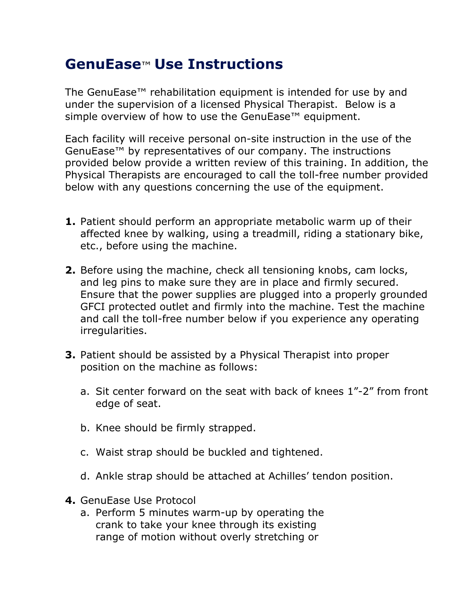## **GenuEase**™ **Use Instructions**

The GenuEase™ rehabilitation equipment is intended for use by and under the supervision of a licensed Physical Therapist. Below is a simple overview of how to use the GenuEase<sup>™</sup> equipment.

Each facility will receive personal on-site instruction in the use of the GenuEase™ by representatives of our company. The instructions provided below provide a written review of this training. In addition, the Physical Therapists are encouraged to call the toll-free number provided below with any questions concerning the use of the equipment.

- **1.** Patient should perform an appropriate metabolic warm up of their affected knee by walking, using a treadmill, riding a stationary bike, etc., before using the machine.
- **2.** Before using the machine, check all tensioning knobs, cam locks, and leg pins to make sure they are in place and firmly secured. Ensure that the power supplies are plugged into a properly grounded GFCI protected outlet and firmly into the machine. Test the machine and call the toll-free number below if you experience any operating irregularities.
- **3.** Patient should be assisted by a Physical Therapist into proper position on the machine as follows:
	- a. Sit center forward on the seat with back of knees 1"-2" from front edge of seat.
	- b. Knee should be firmly strapped.
	- c. Waist strap should be buckled and tightened.
	- d. Ankle strap should be attached at Achilles' tendon position.
- **4.** GenuEase Use Protocol
	- a. Perform 5 minutes warm-up by operating the crank to take your knee through its existing range of motion without overly stretching or